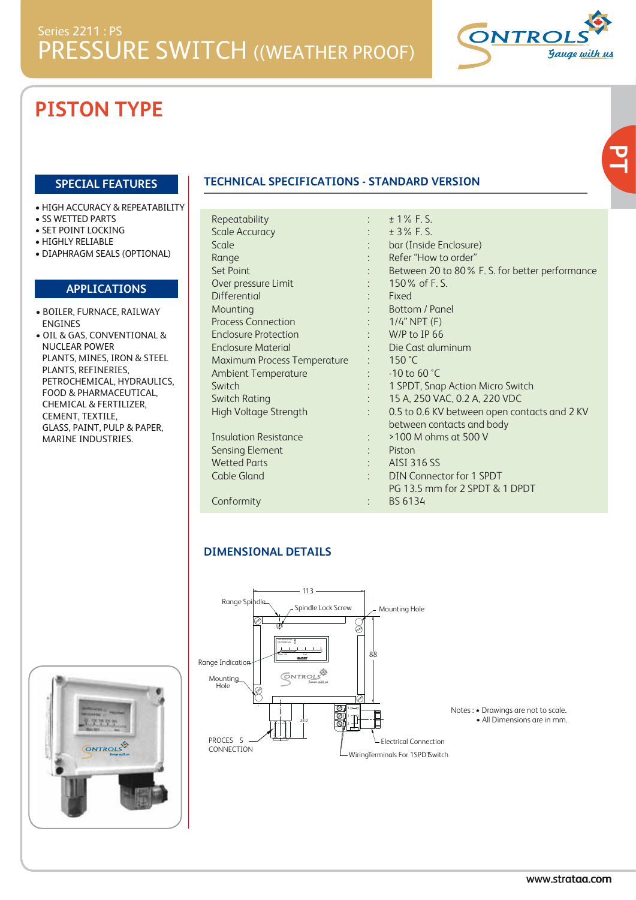

**PT**

# **PISTON TYPE**

#### **SPECIAL FEATURES**

- HIGH ACCURACY & REPEATABILITY
- SS WETTED PARTS
- SET POINT LOCKING
- HIGHLY RELIABLE
- DIAPHRAGM SEALS (OPTIONAL)

#### **APPLICATIONS**

- BOILER, FURNACE, RAILWAY ENGINES
- OIL & GAS, CONVENTIONAL & NUCLEAR POWER PLANTS, MINES, IRON & STEEL PLANTS, REFINERIES, PETROCHEMICAL, HYDRAULICS, FOOD & PHARMACEUTICAL, CHEMICAL & FERTILIZER, CEMENT, TEXTILE, GLASS, PAINT, PULP & PAPER, MARINE INDUSTRIES.

### **TECHNICAL SPECIFICATIONS - STANDARD VERSION**

| Repeatability                        |                               | $\pm$ 1% F.S.                                  |
|--------------------------------------|-------------------------------|------------------------------------------------|
| <b>Scale Accuracy</b>                |                               | $±$ 3% F.S.                                    |
| Scale                                |                               | bar (Inside Enclosure)                         |
| Range                                |                               | Refer "How to order"                           |
| <b>Set Point</b>                     | t in                          | Between 20 to 80% F. S. for better performance |
| Over pressure Limit                  |                               | 150\% of F.S.                                  |
| <b>Differential</b>                  |                               | Fixed                                          |
| Mounting                             | t in                          | Bottom / Panel                                 |
| <b>Process Connection</b>            | $\sim 1000$ km s $^{-1}$      | $1/4$ " NPT (F)                                |
| <b>Enclosure Protection</b>          | <b>Contractor</b>             | W/P to IP 66                                   |
| <b>Enclosure Material</b>            |                               | : Die Cast aluminum                            |
| Maximum Process Temperature : 150 °C |                               |                                                |
| <b>Ambient Temperature</b>           | $\mathcal{L}_{\mathrm{max}}$  | $-10$ to 60 $°C$                               |
| Switch                               | $\mathcal{L}^{\text{max}}$    | 1 SPDT, Snap Action Micro Switch               |
| Switch Rating                        | $\mathcal{L}^{\mathcal{L}}$ . | 15 A, 250 VAC, 0.2 A, 220 VDC                  |
| High Voltage Strength                | $\mathcal{L}$                 | 0.5 to 0.6 KV between open contacts and 2 KV   |
|                                      |                               | between contacts and body                      |
| <b>Insulation Resistance</b>         | t i                           | >100 M ohms at 500 V                           |
| <b>Sensing Element</b>               | t in                          | Piston                                         |
| <b>Wetted Parts</b>                  |                               | <b>AISI 316 SS</b>                             |
| Cable Gland                          |                               | <b>DIN Connector for 1 SPDT</b>                |
|                                      |                               | PG 13.5 mm for 2 SPDT & 1 DPDT                 |

Conformity :

#### **DIMENSIONAL DETAILS**



BS 6134

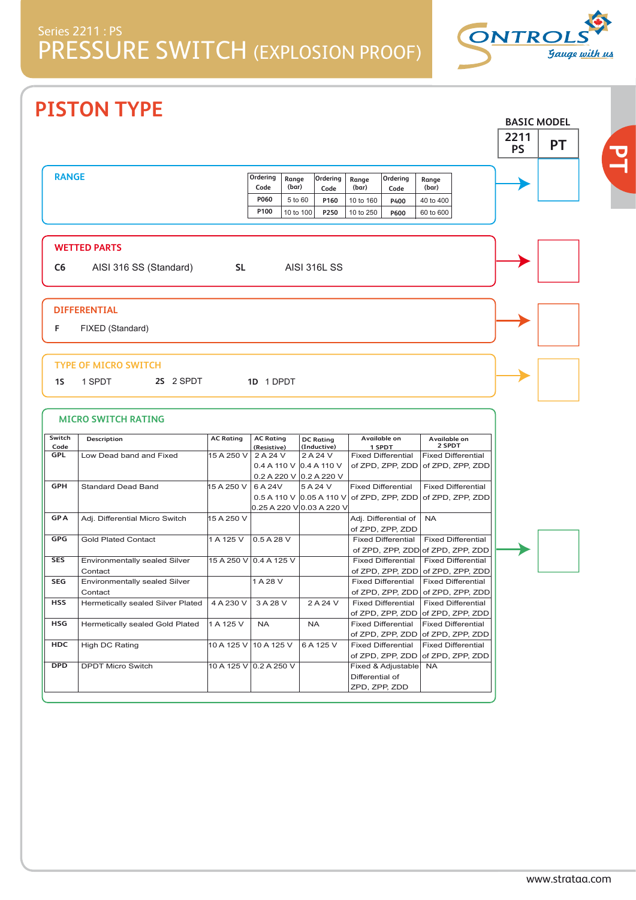

**BASIC MODEL**

# **PISTON TYPE**

|                |                                   |                  |                                    |                |                     |                 |                           |                                   | 2211<br><b>PS</b> | PT |  |
|----------------|-----------------------------------|------------------|------------------------------------|----------------|---------------------|-----------------|---------------------------|-----------------------------------|-------------------|----|--|
| <b>RANGE</b>   |                                   |                  | Ordering<br>Code                   | Range<br>(bar) | Ordering<br>Code    | Range<br>(bar)  | Ordering<br>Code          | Range<br>(bar)                    |                   |    |  |
|                |                                   |                  | P060                               | 5 to 60        | P160                | 10 to 160       | P400                      | 40 to 400                         |                   |    |  |
|                |                                   |                  | P100                               | 10 to 100      |                     |                 |                           |                                   |                   |    |  |
|                |                                   |                  |                                    |                | P250                | 10 to 250       | P600                      | 60 to 600                         |                   |    |  |
|                | <b>WETTED PARTS</b>               |                  |                                    |                |                     |                 |                           |                                   |                   |    |  |
|                |                                   |                  |                                    |                | <b>AISI 316L SS</b> |                 |                           |                                   |                   |    |  |
| C <sub>6</sub> | AISI 316 SS (Standard)            | <b>SL</b>        |                                    |                |                     |                 |                           |                                   |                   |    |  |
|                |                                   |                  |                                    |                |                     |                 |                           |                                   |                   |    |  |
|                | <b>DIFFERENTIAL</b>               |                  |                                    |                |                     |                 |                           |                                   |                   |    |  |
| F              | FIXED (Standard)                  |                  |                                    |                |                     |                 |                           |                                   |                   |    |  |
|                |                                   |                  |                                    |                |                     |                 |                           |                                   |                   |    |  |
|                |                                   |                  |                                    |                |                     |                 |                           |                                   |                   |    |  |
|                | TYPE OF MICRO SWITCH              |                  |                                    |                |                     |                 |                           |                                   |                   |    |  |
| 1S             | 2S 2 SPDT<br>1 SPDT               |                  | 1D 1 DPDT                          |                |                     |                 |                           |                                   |                   |    |  |
|                |                                   |                  |                                    |                |                     |                 |                           |                                   |                   |    |  |
|                |                                   |                  |                                    |                |                     |                 |                           |                                   |                   |    |  |
|                | <b>MICRO SWITCH RATING</b>        |                  |                                    |                |                     |                 |                           |                                   |                   |    |  |
| Switch         | Description                       | <b>AC Rating</b> | <b>AC Rating</b>                   |                | <b>DC Rating</b>    |                 | Available on              | Available on                      |                   |    |  |
| Code           |                                   |                  | (Resistive)                        |                | (Inductive)         |                 | 1 SPDT                    | 2 SPDT                            |                   |    |  |
| GPL            | Low Dead band and Fixed           | 15 A 250 V       | 2 A 24 V                           |                | 2 A 24 V            |                 | <b>Fixed Differential</b> | <b>Fixed Differential</b>         |                   |    |  |
|                |                                   |                  | 0.4 A 110 V $ 0.4 A 110 V$         |                |                     |                 | of ZPD, ZPP, ZDD          | of ZPD, ZPP, ZDD                  |                   |    |  |
| <b>GPH</b>     |                                   |                  | 0.2 A 220 V 0.2 A 220 V<br>6 A 24V |                | 5 A 24 V            |                 | <b>Fixed Differential</b> | <b>Fixed Differential</b>         |                   |    |  |
|                | <b>Standard Dead Band</b>         | 15 A 250 V       | $0.5$ A 110 V $0.05$ A 110 V       |                |                     |                 |                           |                                   |                   |    |  |
|                |                                   |                  | 0.25 A 220 V 0.03 A 220 V          |                |                     |                 | of ZPD, ZPP, ZDD          | of ZPD, ZPP, ZDD                  |                   |    |  |
| <b>GPA</b>     | Adj. Differential Micro Switch    | 15 A 250 V       |                                    |                |                     |                 | Adj. Differential of      | <b>NA</b>                         |                   |    |  |
|                |                                   |                  |                                    |                |                     |                 | of ZPD, ZPP, ZDD          |                                   |                   |    |  |
| <b>GPG</b>     | <b>Gold Plated Contact</b>        | 1 A 125 V        | 0.5 A 28 V                         |                |                     |                 | <b>Fixed Differential</b> | <b>Fixed Differential</b>         |                   |    |  |
|                |                                   |                  |                                    |                |                     |                 |                           | of ZPD, ZPP, ZDD of ZPD, ZPP, ZDD |                   |    |  |
| <b>SES</b>     | Environmentally sealed Silver     |                  | 15 A 250 V 0.4 A 125 V             |                |                     |                 | <b>Fixed Differential</b> | <b>Fixed Differential</b>         |                   |    |  |
|                | Contact                           |                  |                                    |                |                     |                 | of ZPD, ZPP, ZDD          | of ZPD, ZPP, ZDD                  |                   |    |  |
| <b>SEG</b>     | Environmentally sealed Silver     |                  | 1 A 28 V                           |                |                     |                 | <b>Fixed Differential</b> | <b>Fixed Differential</b>         |                   |    |  |
|                | Contact                           |                  |                                    |                |                     |                 | of ZPD, ZPP, ZDD          | of ZPD, ZPP, ZDD                  |                   |    |  |
| <b>HSS</b>     | Hermetically sealed Silver Plated | 4 A 230 V        | 3 A 28 V                           |                | 2 A 24 V            |                 | <b>Fixed Differential</b> | <b>Fixed Differential</b>         |                   |    |  |
|                |                                   |                  |                                    |                |                     |                 |                           | of ZPD, ZPP, ZDD of ZPD, ZPP, ZDD |                   |    |  |
| HSG            | Hermetically sealed Gold Plated   | 1 A 125 V        | <b>NA</b>                          |                | <b>NA</b>           |                 | <b>Fixed Differential</b> | <b>Fixed Differential</b>         |                   |    |  |
|                |                                   |                  |                                    |                |                     |                 |                           | of ZPD, ZPP, ZDD of ZPD, ZPP, ZDD |                   |    |  |
| <b>HDC</b>     | High DC Rating                    |                  | 10 A 125 V 10 A 125 V              |                | 6 A 125 V           |                 | <b>Fixed Differential</b> | <b>Fixed Differential</b>         |                   |    |  |
|                |                                   |                  |                                    |                |                     |                 | of ZPD, ZPP, ZDD          | of ZPD, ZPP, ZDD                  |                   |    |  |
| DPD            | <b>DPDT Micro Switch</b>          |                  | 10 A 125 V 0.2 A 250 V             |                |                     |                 | Fixed & Adjustable        | <b>NA</b>                         |                   |    |  |
|                |                                   |                  |                                    |                |                     | Differential of |                           |                                   |                   |    |  |
|                |                                   |                  |                                    |                |                     | ZPD, ZPP, ZDD   |                           |                                   |                   |    |  |